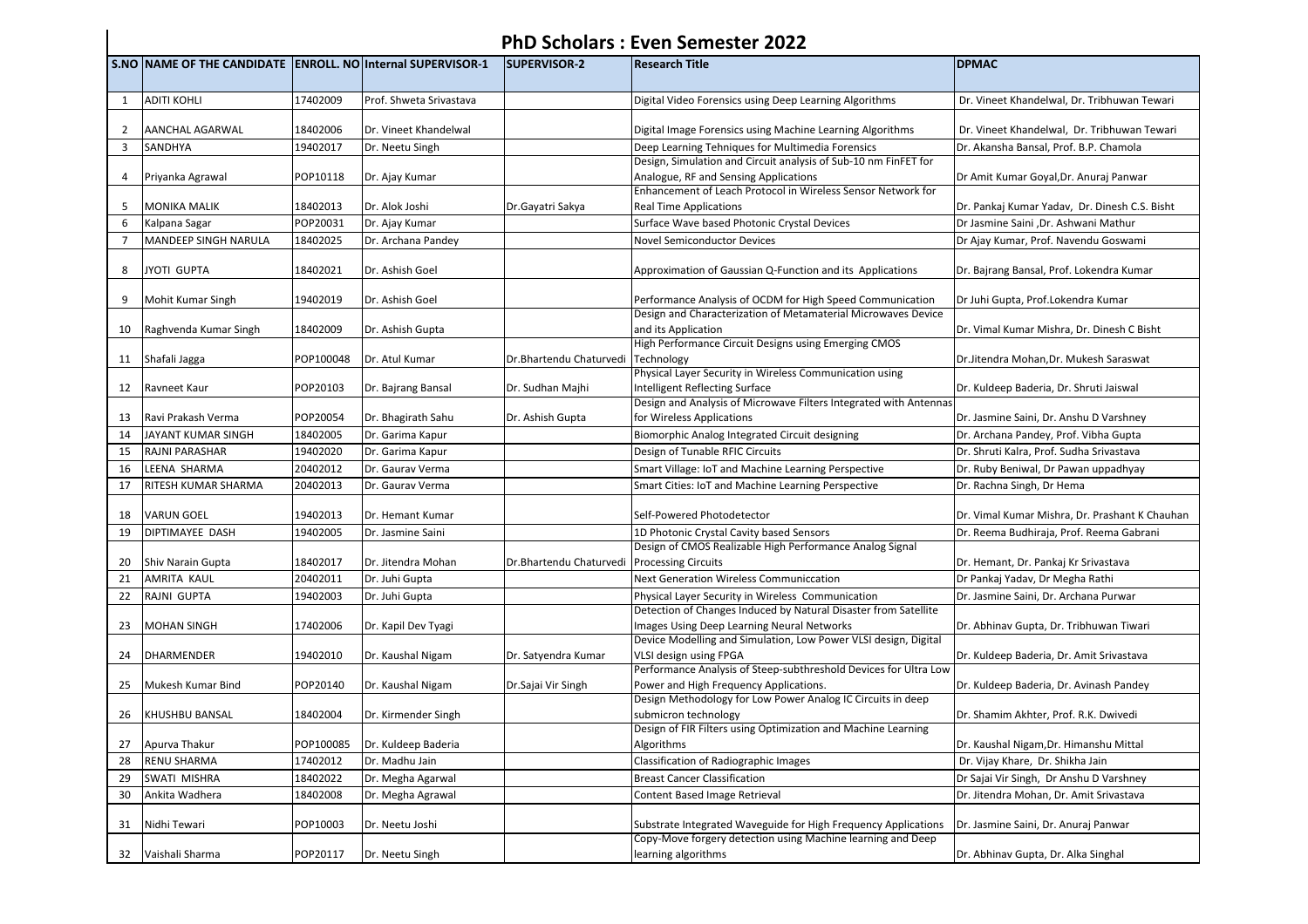## **PhD Scholars : Even Semester 2022**

|                | S.NO NAME OF THE CANDIDATE ENROLL. NO Internal SUPERVISOR-1 |           |                         | <b>SUPERVISOR-2</b>     | <b>Research Title</b>                                                                                      | <b>DPMAC</b>                                   |
|----------------|-------------------------------------------------------------|-----------|-------------------------|-------------------------|------------------------------------------------------------------------------------------------------------|------------------------------------------------|
| 1              | <b>ADITI KOHLI</b>                                          | 17402009  | Prof. Shweta Srivastava |                         | Digital Video Forensics using Deep Learning Algorithms                                                     | Dr. Vineet Khandelwal, Dr. Tribhuwan Tewari    |
|                |                                                             |           |                         |                         |                                                                                                            |                                                |
| $\overline{2}$ | <b>AANCHAL AGARWAL</b>                                      | 18402006  | Dr. Vineet Khandelwal   |                         | Digital Image Forensics using Machine Learning Algorithms                                                  | Dr. Vineet Khandelwal, Dr. Tribhuwan Tewari    |
| $\overline{3}$ | SANDHYA                                                     | 19402017  | Dr. Neetu Singh         |                         | Deep Learning Tehniques for Multimedia Forensics                                                           | Dr. Akansha Bansal, Prof. B.P. Chamola         |
|                |                                                             |           |                         |                         | Design, Simulation and Circuit analysis of Sub-10 nm FinFET for                                            |                                                |
| $\overline{4}$ | Priyanka Agrawal                                            | POP10118  | Dr. Ajay Kumar          |                         | Analogue, RF and Sensing Applications                                                                      | Dr Amit Kumar Goyal, Dr. Anuraj Panwar         |
| 5              |                                                             |           |                         |                         | Enhancement of Leach Protocol in Wireless Sensor Network for                                               |                                                |
| 6              | <b>MONIKA MALIK</b>                                         | 18402013  | Dr. Alok Joshi          | Dr.Gayatri Sakya        | <b>Real Time Applications</b>                                                                              | Dr. Pankaj Kumar Yadav, Dr. Dinesh C.S. Bisht  |
| $\overline{7}$ | Kalpana Sagar                                               | POP20031  | Dr. Ajay Kumar          |                         | Surface Wave based Photonic Crystal Devices                                                                | Dr Jasmine Saini , Dr. Ashwani Mathur          |
|                | <b>MANDEEP SINGH NARULA</b>                                 | 18402025  | Dr. Archana Pandey      |                         | <b>Novel Semiconductor Devices</b>                                                                         | Dr Ajay Kumar, Prof. Navendu Goswami           |
| 8              | JYOTI GUPTA                                                 | 18402021  | Dr. Ashish Goel         |                         | Approximation of Gaussian Q-Function and its Applications                                                  | Dr. Bajrang Bansal, Prof. Lokendra Kumar       |
| 9              | Mohit Kumar Singh                                           | 19402019  | Dr. Ashish Goel         |                         | Performance Analysis of OCDM for High Speed Communication                                                  | Dr Juhi Gupta, Prof.Lokendra Kumar             |
|                |                                                             |           |                         |                         | Design and Characterization of Metamaterial Microwaves Device                                              |                                                |
| 10             | Raghvenda Kumar Singh                                       | 18402009  | Dr. Ashish Gupta        |                         | and its Application                                                                                        | Dr. Vimal Kumar Mishra, Dr. Dinesh C Bisht     |
|                |                                                             |           |                         |                         | High Performance Circuit Designs using Emerging CMOS                                                       |                                                |
| 11             | Shafali Jagga                                               | POP100048 | Dr. Atul Kumar          | Dr.Bhartendu Chaturvedi | Technology                                                                                                 | Dr.Jitendra Mohan, Dr. Mukesh Saraswat         |
|                |                                                             |           |                         |                         | Physical Layer Security in Wireless Communication using                                                    |                                                |
| 12             | Ravneet Kaur                                                | POP20103  | Dr. Bajrang Bansal      | Dr. Sudhan Majhi        | <b>Intelligent Reflecting Surface</b><br>Design and Analysis of Microwave Filters Integrated with Antennas | Dr. Kuldeep Baderia, Dr. Shruti Jaiswal        |
| 13             | Ravi Prakash Verma                                          | POP20054  | Dr. Bhagirath Sahu      | Dr. Ashish Gupta        | for Wireless Applications                                                                                  | Dr. Jasmine Saini, Dr. Anshu D Varshney        |
| 14             | JAYANT KUMAR SINGH                                          | 18402005  | Dr. Garima Kapur        |                         | Biomorphic Analog Integrated Circuit designing                                                             | Dr. Archana Pandey, Prof. Vibha Gupta          |
| 15             | <b>RAJNI PARASHAR</b>                                       | 19402020  | Dr. Garima Kapur        |                         | Design of Tunable RFIC Circuits                                                                            | Dr. Shruti Kalra, Prof. Sudha Srivastava       |
| 16             | LEENA SHARMA                                                | 20402012  | Dr. Gaurav Verma        |                         | Smart Village: IoT and Machine Learning Perspective                                                        | Dr. Ruby Beniwal, Dr Pawan uppadhyay           |
| 17             | RITESH KUMAR SHARMA                                         | 20402013  | Dr. Gaurav Verma        |                         | Smart Cities: IoT and Machine Learning Perspective                                                         | Dr. Rachna Singh, Dr Hema                      |
|                |                                                             |           |                         |                         |                                                                                                            |                                                |
| 18             | <b>VARUN GOEL</b>                                           | 19402013  | Dr. Hemant Kumar        |                         | Self-Powered Photodetector                                                                                 | Dr. Vimal Kumar Mishra, Dr. Prashant K Chauhan |
| 19             | DIPTIMAYEE DASH                                             | 19402005  | Dr. Jasmine Saini       |                         | 1D Photonic Crystal Cavity based Sensors                                                                   | Dr. Reema Budhiraja, Prof. Reema Gabrani       |
| 20             | Shiv Narain Gupta                                           | 18402017  | Dr. Jitendra Mohan      | Dr.Bhartendu Chaturvedi | Design of CMOS Realizable High Performance Analog Signal<br><b>Processing Circuits</b>                     | Dr. Hemant, Dr. Pankaj Kr Srivastava           |
| 21             | AMRITA KAUL                                                 | 20402011  | Dr. Juhi Gupta          |                         | <b>Next Generation Wireless Communiccation</b>                                                             | Dr Pankaj Yadav, Dr Megha Rathi                |
| 22             | RAJNI GUPTA                                                 | 19402003  | Dr. Juhi Gupta          |                         | Physical Layer Security in Wireless Communication                                                          | Dr. Jasmine Saini, Dr. Archana Purwar          |
|                |                                                             |           |                         |                         | Detection of Changes Induced by Natural Disaster from Satellite                                            |                                                |
| 23             | <b>MOHAN SINGH</b>                                          | 17402006  | Dr. Kapil Dev Tyagi     |                         | Images Using Deep Learning Neural Networks                                                                 | Dr. Abhinav Gupta, Dr. Tribhuwan Tiwari        |
|                |                                                             |           |                         |                         | Device Modelling and Simulation, Low Power VLSI design, Digital                                            |                                                |
| 24             | <b>DHARMENDER</b>                                           | 19402010  | Dr. Kaushal Nigam       | Dr. Satyendra Kumar     | VLSI design using FPGA<br>Performance Analysis of Steep-subthreshold Devices for Ultra Low                 | Dr. Kuldeep Baderia, Dr. Amit Srivastava       |
| 25             | Mukesh Kumar Bind                                           | POP20140  | Dr. Kaushal Nigam       | Dr.Sajai Vir Singh      | Power and High Frequency Applications.                                                                     | Dr. Kuldeep Baderia, Dr. Avinash Pandey        |
|                |                                                             |           |                         |                         | Design Methodology for Low Power Analog IC Circuits in deep                                                |                                                |
| 26             | <b>KHUSHBU BANSAL</b>                                       | 18402004  | Dr. Kirmender Singh     |                         | submicron technology                                                                                       | Dr. Shamim Akhter, Prof. R.K. Dwivedi          |
|                |                                                             |           |                         |                         | Design of FIR Filters using Optimization and Machine Learning                                              |                                                |
| 27             | Apurva Thakur                                               | POP100085 | Dr. Kuldeep Baderia     |                         | Algorithms                                                                                                 | Dr. Kaushal Nigam, Dr. Himanshu Mittal         |
| 28             | <b>RENU SHARMA</b>                                          | 17402012  | Dr. Madhu Jain          |                         | <b>Classification of Radiographic Images</b>                                                               | Dr. Vijay Khare, Dr. Shikha Jain               |
| 29             | SWATI MISHRA                                                | 18402022  | Dr. Megha Agarwal       |                         | <b>Breast Cancer Classification</b>                                                                        | Dr Sajai Vir Singh, Dr Anshu D Varshney        |
| 30             | Ankita Wadhera                                              | 18402008  | Dr. Megha Agrawal       |                         | Content Based Image Retrieval                                                                              | Dr. Jitendra Mohan, Dr. Amit Srivastava        |
| 31             | Nidhi Tewari                                                | POP10003  | Dr. Neetu Joshi         |                         | Substrate Integrated Waveguide for High Frequency Applications                                             | Dr. Jasmine Saini, Dr. Anuraj Panwar           |
|                |                                                             |           |                         |                         | Copy-Move forgery detection using Machine learning and Deep                                                |                                                |
| 32             | Vaishali Sharma                                             | POP20117  | Dr. Neetu Singh         |                         | learning algorithms                                                                                        | Dr. Abhinav Gupta, Dr. Alka Singhal            |